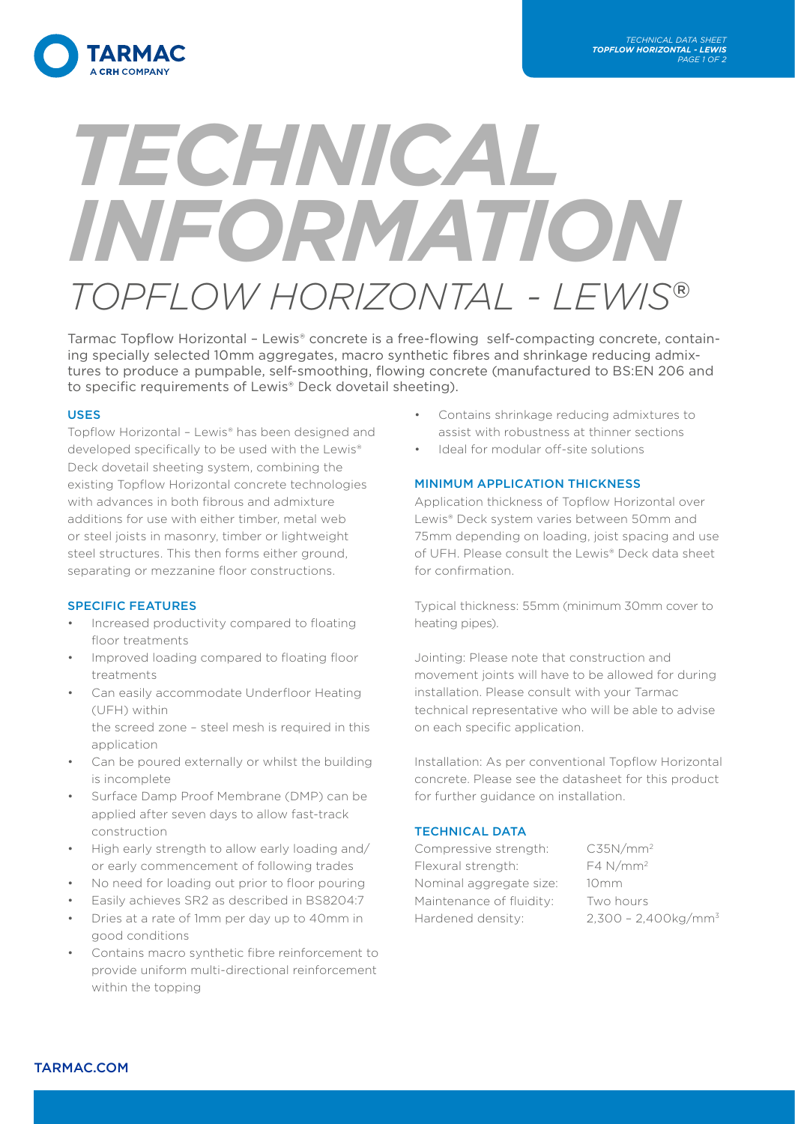

# *TECHNICAL INFORMATION TOPFLOW HORIZONTAL - LEWIS*®

Tarmac Topflow Horizontal - Lewis® concrete is a free-flowing self-compacting concrete, containing specially selected 10mm aggregates, macro synthetic fibres and shrinkage reducing admixtures to produce a pumpable, self-smoothing, flowing concrete (manufactured to BS:EN 206 and to specific requirements of Lewis® Deck dovetail sheeting).

### USES

Topflow Horizontal – Lewis® has been designed and developed specifically to be used with the Lewis® Deck dovetail sheeting system, combining the existing Topflow Horizontal concrete technologies with advances in both fibrous and admixture additions for use with either timber, metal web or steel joists in masonry, timber or lightweight steel structures. This then forms either ground, separating or mezzanine floor constructions.

### SPECIFIC FEATURES

- Increased productivity compared to floating floor treatments
- Improved loading compared to floating floor treatments
- Can easily accommodate Underfloor Heating (UFH) within the screed zone – steel mesh is required in this
	- application
- Can be poured externally or whilst the building is incomplete
- Surface Damp Proof Membrane (DMP) can be applied after seven days to allow fast-track construction
- High early strength to allow early loading and/ or early commencement of following trades
- No need for loading out prior to floor pouring
- Easily achieves SR2 as described in BS8204:7
- Dries at a rate of 1mm per day up to 40mm in good conditions
- Contains macro synthetic fibre reinforcement to provide uniform multi-directional reinforcement within the topping
- Contains shrinkage reducing admixtures to assist with robustness at thinner sections
- Ideal for modular off-site solutions

### MINIMUM APPLICATION THICKNESS

Application thickness of Topflow Horizontal over Lewis® Deck system varies between 50mm and 75mm depending on loading, joist spacing and use of UFH. Please consult the Lewis® Deck data sheet for confirmation.

Typical thickness: 55mm (minimum 30mm cover to heating pipes).

Jointing: Please note that construction and movement joints will have to be allowed for during installation. Please consult with your Tarmac technical representative who will be able to advise on each specific application.

Installation: As per conventional Topflow Horizontal concrete. Please see the datasheet for this product for further guidance on installation.

### TECHNICAL DATA

Compressive strength: C35N/mm2 Flexural strength: F4 N/mm<sup>2</sup> Nominal aggregate size: 10mm Maintenance of fluidity: Two hours Hardened density: 2,300 - 2,400kg/mm<sup>3</sup>